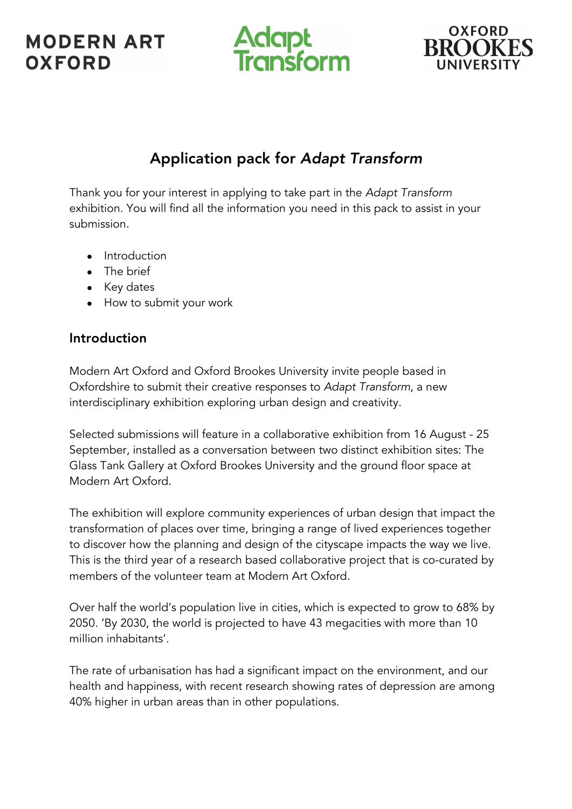# **MODERN ART OXFORD**





## Application pack for *Adapt Transform*

Thank you for your interest in applying to take part in the *Adapt Transform* exhibition. You will find all the information you need in this pack to assist in your submission.

- Introduction
- The brief
- Key dates
- How to submit your work

## Introduction

Modern Art Oxford and Oxford Brookes University invite people based in Oxfordshire to submit their creative responses to *Adapt Transform*, a new interdisciplinary exhibition exploring urban design and creativity.

Selected submissions will feature in a collaborative exhibition from 16 August - 25 September, installed as a conversation between two distinct exhibition sites: The Glass Tank Gallery at Oxford Brookes University and the ground floor space at Modern Art Oxford.

The exhibition will explore community experiences of urban design that impact the transformation of places over time, bringing a range of lived experiences together to discover how the planning and design of the cityscape impacts the way we live. This is the third year of a research based collaborative project that is co-curated by members of the volunteer team at Modern Art Oxford.

Over half the world's population live in cities, which is expected to grow to 68% by 2050. 'By 2030, the world is projected to have 43 megacities with more than 10 million inhabitants'.

The rate of urbanisation has had a significant impact on the environment, and our health and happiness, with recent research showing rates of depression are among 40% higher in urban areas than in other populations.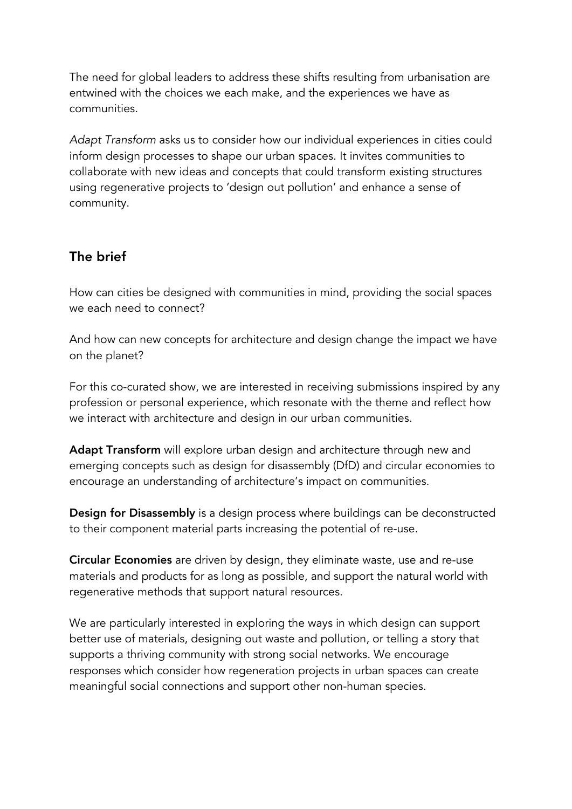The need for global leaders to address these shifts resulting from urbanisation are entwined with the choices we each make, and the experiences we have as communities.

*Adapt Transform* asks us to consider how our individual experiences in cities could inform design processes to shape our urban spaces. It invites communities to collaborate with new ideas and concepts that could transform existing structures using regenerative projects to 'design out pollution' and enhance a sense of community.

## The brief

How can cities be designed with communities in mind, providing the social spaces we each need to connect?

And how can new concepts for architecture and design change the impact we have on the planet?

For this co-curated show, we are interested in receiving submissions inspired by any profession or personal experience, which resonate with the theme and reflect how we interact with architecture and design in our urban communities.

Adapt Transform will explore urban design and architecture through new and emerging concepts such as design for disassembly (DfD) and circular economies to encourage an understanding of architecture's impact on communities.

Design for Disassembly is a design process where buildings can be deconstructed to their component material parts increasing the potential of re-use.

Circular Economies are driven by design, they eliminate waste, use and re-use materials and products for as long as possible, and support the natural world with regenerative methods that support natural resources.

We are particularly interested in exploring the ways in which design can support better use of materials, designing out waste and pollution, or telling a story that supports a thriving community with strong social networks. We encourage responses which consider how regeneration projects in urban spaces can create meaningful social connections and support other non-human species.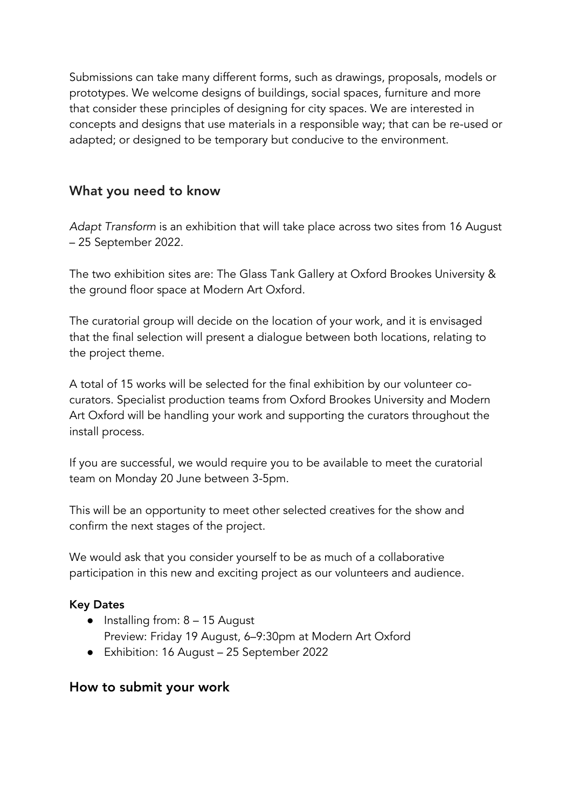Submissions can take many different forms, such as drawings, proposals, models or prototypes. We welcome designs of buildings, social spaces, furniture and more that consider these principles of designing for city spaces. We are interested in concepts and designs that use materials in a responsible way; that can be re-used or adapted; or designed to be temporary but conducive to the environment.

#### What you need to know

*Adapt Transform* is an exhibition that will take place across two sites from 16 August – 25 September 2022.

The two exhibition sites are: The Glass Tank Gallery at Oxford Brookes University & the ground floor space at Modern Art Oxford.

The curatorial group will decide on the location of your work, and it is envisaged that the final selection will present a dialogue between both locations, relating to the project theme.

A total of 15 works will be selected for the final exhibition by our volunteer cocurators. Specialist production teams from Oxford Brookes University and Modern Art Oxford will be handling your work and supporting the curators throughout the install process.

If you are successful, we would require you to be available to meet the curatorial team on Monday 20 June between 3-5pm.

This will be an opportunity to meet other selected creatives for the show and confirm the next stages of the project.

We would ask that you consider yourself to be as much of a collaborative participation in this new and exciting project as our volunteers and audience.

#### Key Dates

- $\bullet$  Installing from:  $8 15$  August
	- Preview: Friday 19 August, 6–9:30pm at Modern Art Oxford
- Exhibition: 16 August 25 September 2022

#### How to submit your work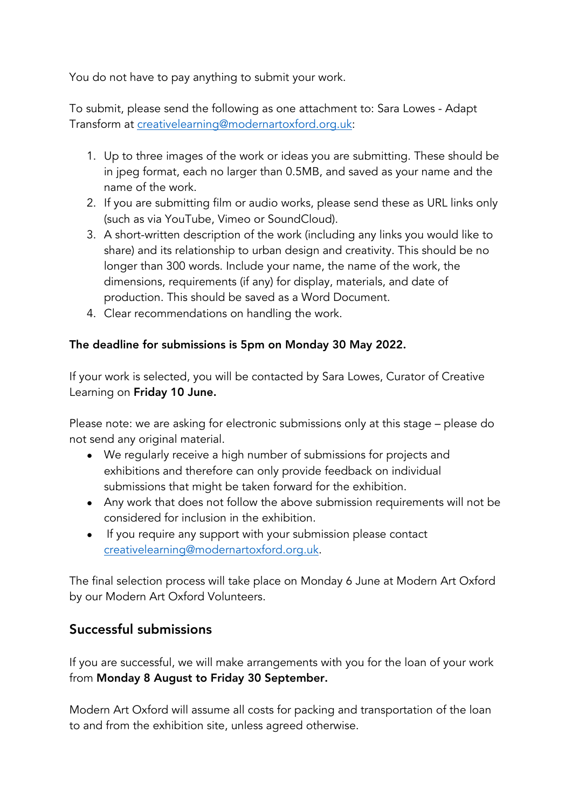You do not have to pay anything to submit your work.

To submit, please send the following as one attachment to: Sara Lowes - Adapt Transform at creativelearning@modernartoxford.org.uk:

- 1. Up to three images of the work or ideas you are submitting. These should be in jpeg format, each no larger than 0.5MB, and saved as your name and the name of the work.
- 2. If you are submitting film or audio works, please send these as URL links only (such as via YouTube, Vimeo or SoundCloud).
- 3. A short-written description of the work (including any links you would like to share) and its relationship to urban design and creativity. This should be no longer than 300 words. Include your name, the name of the work, the dimensions, requirements (if any) for display, materials, and date of production. This should be saved as a Word Document.
- 4. Clear recommendations on handling the work.

#### The deadline for submissions is 5pm on Monday 30 May 2022.

If your work is selected, you will be contacted by Sara Lowes, Curator of Creative Learning on Friday 10 June.

Please note: we are asking for electronic submissions only at this stage – please do not send any original material.

- We regularly receive a high number of submissions for projects and exhibitions and therefore can only provide feedback on individual submissions that might be taken forward for the exhibition.
- Any work that does not follow the above submission requirements will not be considered for inclusion in the exhibition.
- If you require any support with your submission please contact creativelearning@modernartoxford.org.uk.

The final selection process will take place on Monday 6 June at Modern Art Oxford by our Modern Art Oxford Volunteers.

## Successful submissions

If you are successful, we will make arrangements with you for the loan of your work from Monday 8 August to Friday 30 September.

Modern Art Oxford will assume all costs for packing and transportation of the loan to and from the exhibition site, unless agreed otherwise.